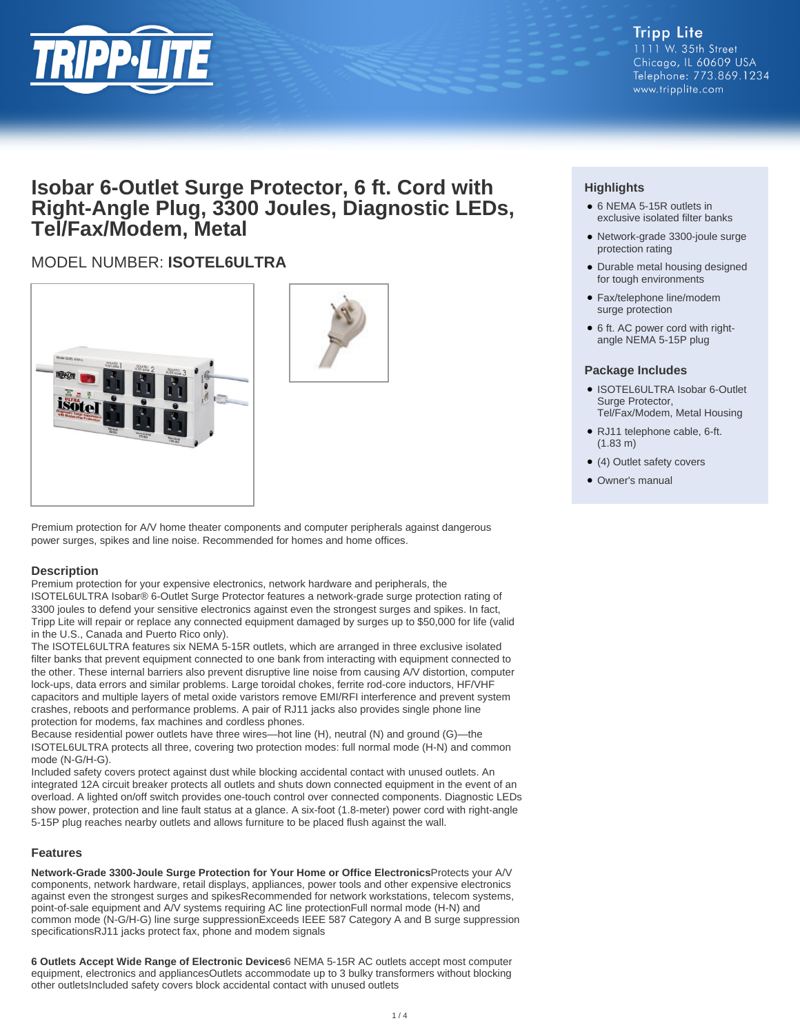

#### **Tripp Lite** 1111 W. 35th Street Chicago, IL 60609 USA Telephone: 773.869.1234 www.tripplite.com

# **Isobar 6-Outlet Surge Protector, 6 ft. Cord with Right-Angle Plug, 3300 Joules, Diagnostic LEDs, Tel/Fax/Modem, Metal**

## MODEL NUMBER: **ISOTEL6ULTRA**





Premium protection for A/V home theater components and computer peripherals against dangerous power surges, spikes and line noise. Recommended for homes and home offices.

#### **Description**

Premium protection for your expensive electronics, network hardware and peripherals, the ISOTEL6ULTRA Isobar® 6-Outlet Surge Protector features a network-grade surge protection rating of 3300 joules to defend your sensitive electronics against even the strongest surges and spikes. In fact, Tripp Lite will repair or replace any connected equipment damaged by surges up to \$50,000 for life (valid in the U.S., Canada and Puerto Rico only).

The ISOTEL6ULTRA features six NEMA 5-15R outlets, which are arranged in three exclusive isolated filter banks that prevent equipment connected to one bank from interacting with equipment connected to the other. These internal barriers also prevent disruptive line noise from causing A/V distortion, computer lock-ups, data errors and similar problems. Large toroidal chokes, ferrite rod-core inductors, HF/VHF capacitors and multiple layers of metal oxide varistors remove EMI/RFI interference and prevent system crashes, reboots and performance problems. A pair of RJ11 jacks also provides single phone line protection for modems, fax machines and cordless phones.

Because residential power outlets have three wires—hot line (H), neutral (N) and ground (G)—the ISOTEL6ULTRA protects all three, covering two protection modes: full normal mode (H-N) and common mode (N-G/H-G).

Included safety covers protect against dust while blocking accidental contact with unused outlets. An integrated 12A circuit breaker protects all outlets and shuts down connected equipment in the event of an overload. A lighted on/off switch provides one-touch control over connected components. Diagnostic LEDs show power, protection and line fault status at a glance. A six-foot (1.8-meter) power cord with right-angle 5-15P plug reaches nearby outlets and allows furniture to be placed flush against the wall.

#### **Features**

**Network-Grade 3300-Joule Surge Protection for Your Home or Office Electronics**Protects your A/V components, network hardware, retail displays, appliances, power tools and other expensive electronics against even the strongest surges and spikesRecommended for network workstations, telecom systems, point-of-sale equipment and A/V systems requiring AC line protectionFull normal mode (H-N) and common mode (N-G/H-G) line surge suppressionExceeds IEEE 587 Category A and B surge suppression specificationsRJ11 jacks protect fax, phone and modem signals

**6 Outlets Accept Wide Range of Electronic Devices**6 NEMA 5-15R AC outlets accept most computer equipment, electronics and appliancesOutlets accommodate up to 3 bulky transformers without blocking other outletsIncluded safety covers block accidental contact with unused outlets

### **Highlights**

- 6 NEMA 5-15R outlets in exclusive isolated filter banks
- Network-grade 3300-joule surge protection rating
- Durable metal housing designed for tough environments
- Fax/telephone line/modem surge protection
- 6 ft. AC power cord with rightangle NEMA 5-15P plug

#### **Package Includes**

- ISOTEL6ULTRA Isobar 6-Outlet Surge Protector, Tel/Fax/Modem, Metal Housing
- RJ11 telephone cable, 6-ft. (1.83 m)
- (4) Outlet safety covers
- Owner's manual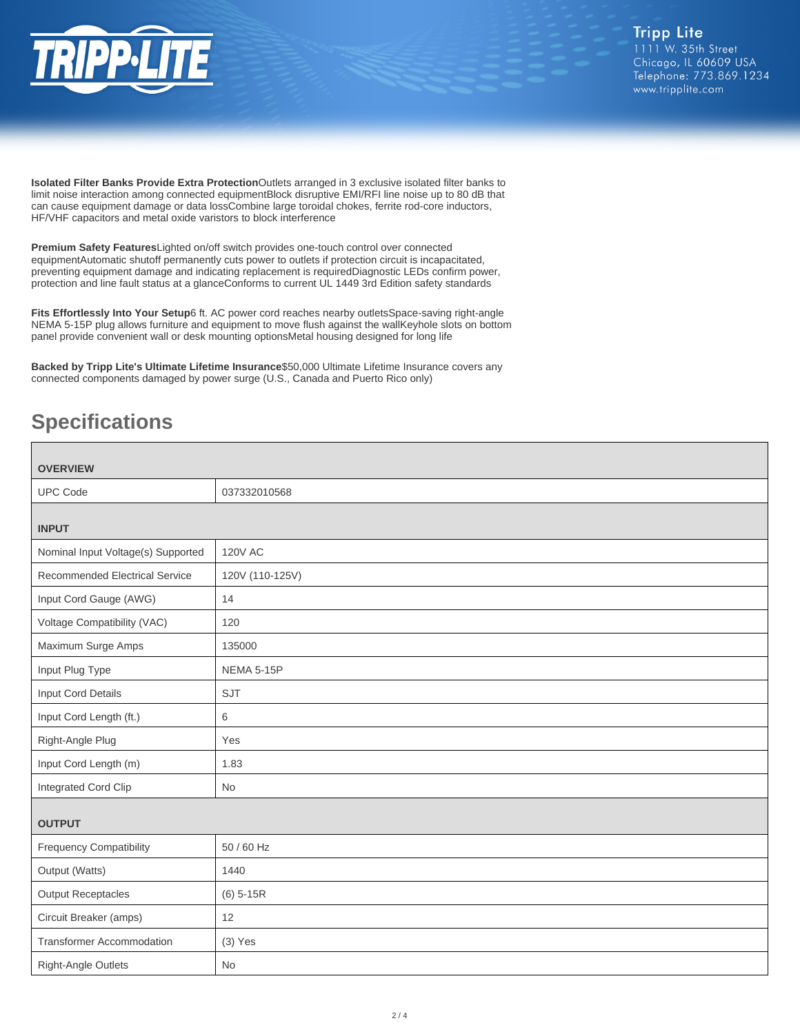

**Isolated Filter Banks Provide Extra Protection**Outlets arranged in 3 exclusive isolated filter banks to limit noise interaction among connected equipmentBlock disruptive EMI/RFI line noise up to 80 dB that can cause equipment damage or data lossCombine large toroidal chokes, ferrite rod-core inductors, HF/VHF capacitors and metal oxide varistors to block interference

**Premium Safety Features**Lighted on/off switch provides one-touch control over connected equipmentAutomatic shutoff permanently cuts power to outlets if protection circuit is incapacitated, preventing equipment damage and indicating replacement is requiredDiagnostic LEDs confirm power, protection and line fault status at a glanceConforms to current UL 1449 3rd Edition safety standards

**Fits Effortlessly Into Your Setup**6 ft. AC power cord reaches nearby outletsSpace-saving right-angle NEMA 5-15P plug allows furniture and equipment to move flush against the wallKeyhole slots on bottom panel provide convenient wall or desk mounting optionsMetal housing designed for long life

**Backed by Tripp Lite's Ultimate Lifetime Insurance**\$50,000 Ultimate Lifetime Insurance covers any connected components damaged by power surge (U.S., Canada and Puerto Rico only)

# **Specifications**

| <b>OVERVIEW</b>                       |                   |  |
|---------------------------------------|-------------------|--|
| <b>UPC Code</b>                       | 037332010568      |  |
| <b>INPUT</b>                          |                   |  |
| Nominal Input Voltage(s) Supported    | <b>120V AC</b>    |  |
| <b>Recommended Electrical Service</b> | 120V (110-125V)   |  |
| Input Cord Gauge (AWG)                | 14                |  |
| Voltage Compatibility (VAC)           | 120               |  |
| Maximum Surge Amps                    | 135000            |  |
| Input Plug Type                       | <b>NEMA 5-15P</b> |  |
| Input Cord Details                    | SJT               |  |
| Input Cord Length (ft.)               | 6                 |  |
| Right-Angle Plug                      | Yes               |  |
| Input Cord Length (m)                 | 1.83              |  |
| Integrated Cord Clip                  | No                |  |
| <b>OUTPUT</b>                         |                   |  |
| <b>Frequency Compatibility</b>        | 50 / 60 Hz        |  |
| Output (Watts)                        | 1440              |  |
| <b>Output Receptacles</b>             | $(6)$ 5-15R       |  |
| Circuit Breaker (amps)                | 12                |  |
| Transformer Accommodation             | $(3)$ Yes         |  |
| <b>Right-Angle Outlets</b>            | <b>No</b>         |  |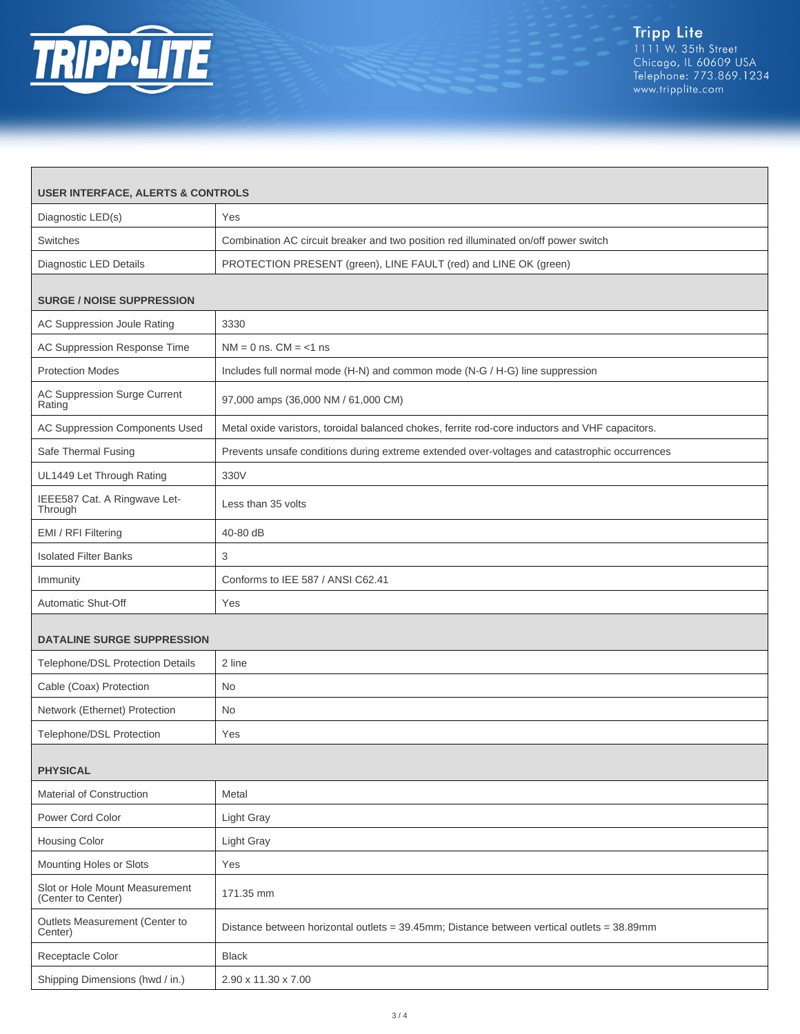

 $\Gamma$ 

٦

| <b>USER INTERFACE, ALERTS &amp; CONTROLS</b>         |                                                                                                 |  |
|------------------------------------------------------|-------------------------------------------------------------------------------------------------|--|
| Diagnostic LED(s)                                    | Yes                                                                                             |  |
| Switches                                             | Combination AC circuit breaker and two position red illuminated on/off power switch             |  |
| <b>Diagnostic LED Details</b>                        | PROTECTION PRESENT (green), LINE FAULT (red) and LINE OK (green)                                |  |
|                                                      |                                                                                                 |  |
| <b>SURGE / NOISE SUPPRESSION</b>                     |                                                                                                 |  |
| AC Suppression Joule Rating                          | 3330                                                                                            |  |
| AC Suppression Response Time                         | $NM = 0$ ns. $CM = <1$ ns                                                                       |  |
| <b>Protection Modes</b>                              | Includes full normal mode (H-N) and common mode (N-G / H-G) line suppression                    |  |
| AC Suppression Surge Current<br>Rating               | 97,000 amps (36,000 NM / 61,000 CM)                                                             |  |
| AC Suppression Components Used                       | Metal oxide varistors, toroidal balanced chokes, ferrite rod-core inductors and VHF capacitors. |  |
| Safe Thermal Fusing                                  | Prevents unsafe conditions during extreme extended over-voltages and catastrophic occurrences   |  |
| UL1449 Let Through Rating                            | 330V                                                                                            |  |
| IEEE587 Cat. A Ringwave Let-<br>Through              | Less than 35 volts                                                                              |  |
| EMI / RFI Filtering                                  | 40-80 dB                                                                                        |  |
| <b>Isolated Filter Banks</b>                         | 3                                                                                               |  |
| Immunity                                             | Conforms to IEE 587 / ANSI C62.41                                                               |  |
| Automatic Shut-Off                                   | Yes                                                                                             |  |
| <b>DATALINE SURGE SUPPRESSION</b>                    |                                                                                                 |  |
| Telephone/DSL Protection Details                     | 2 line                                                                                          |  |
| Cable (Coax) Protection                              | <b>No</b>                                                                                       |  |
| Network (Ethernet) Protection                        | <b>No</b>                                                                                       |  |
| Telephone/DSL Protection                             | Yes                                                                                             |  |
|                                                      |                                                                                                 |  |
| <b>PHYSICAL</b>                                      |                                                                                                 |  |
| <b>Material of Construction</b>                      | Metal                                                                                           |  |
| Power Cord Color                                     | Light Gray                                                                                      |  |
| <b>Housing Color</b>                                 | Light Gray                                                                                      |  |
| Mounting Holes or Slots                              | Yes                                                                                             |  |
| Slot or Hole Mount Measurement<br>(Center to Center) | 171.35 mm                                                                                       |  |
| Outlets Measurement (Center to<br>Center)            | Distance between horizontal outlets = 39.45mm; Distance between vertical outlets = 38.89mm      |  |
| Receptacle Color                                     | <b>Black</b>                                                                                    |  |
| Shipping Dimensions (hwd / in.)                      | 2.90 x 11.30 x 7.00                                                                             |  |